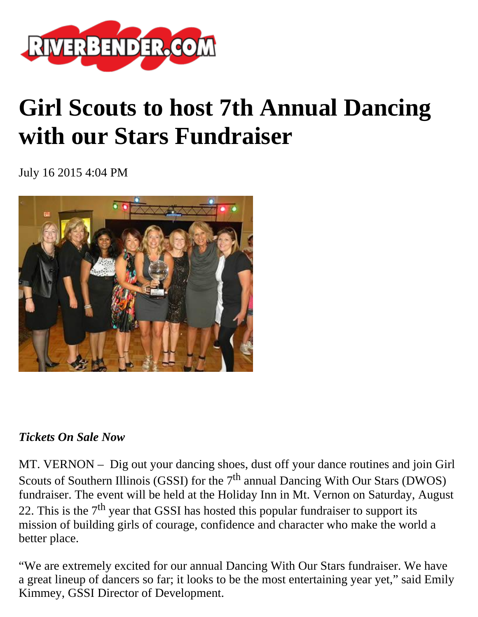

## **Girl Scouts to host 7th Annual Dancing with our Stars Fundraiser**

July 16 2015 4:04 PM



## *Tickets On Sale Now*

MT. VERNON – Dig out your dancing shoes, dust off your dance routines and join Girl Scouts of Southern Illinois (GSSI) for the  $7<sup>th</sup>$  annual Dancing With Our Stars (DWOS) fundraiser. The event will be held at the Holiday Inn in Mt. Vernon on Saturday, August 22. This is the  $7<sup>th</sup>$  year that GSSI has hosted this popular fundraiser to support its mission of building girls of courage, confidence and character who make the world a better place.

"We are extremely excited for our annual Dancing With Our Stars fundraiser. We have a great lineup of dancers so far; it looks to be the most entertaining year yet," said Emily Kimmey, GSSI Director of Development.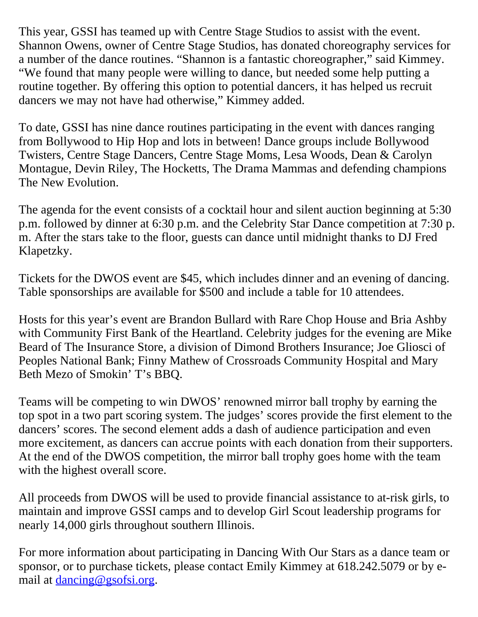This year, GSSI has teamed up with Centre Stage Studios to assist with the event. Shannon Owens, owner of Centre Stage Studios, has donated choreography services for a number of the dance routines. "Shannon is a fantastic choreographer," said Kimmey. "We found that many people were willing to dance, but needed some help putting a routine together. By offering this option to potential dancers, it has helped us recruit dancers we may not have had otherwise," Kimmey added.

To date, GSSI has nine dance routines participating in the event with dances ranging from Bollywood to Hip Hop and lots in between! Dance groups include Bollywood Twisters, Centre Stage Dancers, Centre Stage Moms, Lesa Woods, Dean & Carolyn Montague, Devin Riley, The Hocketts, The Drama Mammas and defending champions The New Evolution.

The agenda for the event consists of a cocktail hour and silent auction beginning at 5:30 p.m. followed by dinner at 6:30 p.m. and the Celebrity Star Dance competition at 7:30 p. m. After the stars take to the floor, guests can dance until midnight thanks to DJ Fred Klapetzky.

Tickets for the DWOS event are \$45, which includes dinner and an evening of dancing. Table sponsorships are available for \$500 and include a table for 10 attendees.

Hosts for this year's event are Brandon Bullard with Rare Chop House and Bria Ashby with Community First Bank of the Heartland. Celebrity judges for the evening are Mike Beard of The Insurance Store, a division of Dimond Brothers Insurance; Joe Gliosci of Peoples National Bank; Finny Mathew of Crossroads Community Hospital and Mary Beth Mezo of Smokin' T's BBQ.

Teams will be competing to win DWOS' renowned mirror ball trophy by earning the top spot in a two part scoring system. The judges' scores provide the first element to the dancers' scores. The second element adds a dash of audience participation and even more excitement, as dancers can accrue points with each donation from their supporters. At the end of the DWOS competition, the mirror ball trophy goes home with the team with the highest overall score.

All proceeds from DWOS will be used to provide financial assistance to at-risk girls, to maintain and improve GSSI camps and to develop Girl Scout leadership programs for nearly 14,000 girls throughout southern Illinois.

For more information about participating in Dancing With Our Stars as a dance team or sponsor, or to purchase tickets, please contact Emily Kimmey at 618.242.5079 or by email at [dancing@gsofsi.org](mailto:dancing@gsofsi.org).